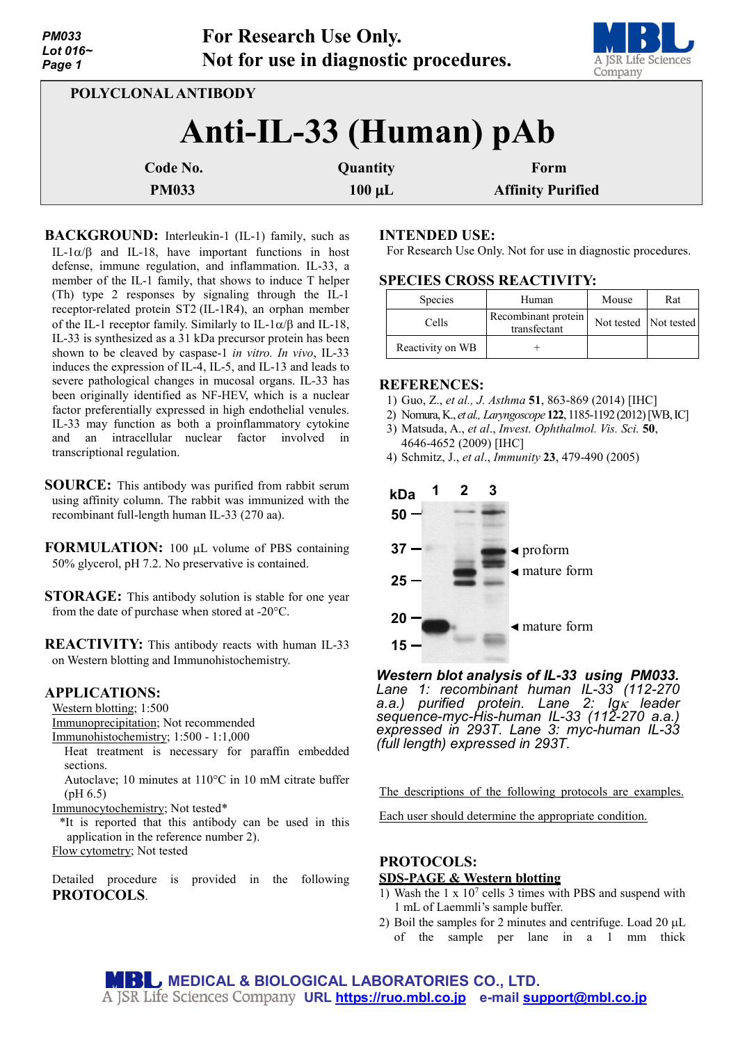| <b>PM033</b><br>Lot 016~<br>Page 1 |              | <b>For Research Use Only.</b><br>Not for use in diagnostic procedures. | A JSR Life Sciences<br>Company |  |  |  |
|------------------------------------|--------------|------------------------------------------------------------------------|--------------------------------|--|--|--|
| POLYCLONAL ANTIBODY                |              |                                                                        |                                |  |  |  |
| Anti-IL-33 (Human) pAb             |              |                                                                        |                                |  |  |  |
|                                    | Code No.     | Quantity                                                               | Form                           |  |  |  |
|                                    | <b>PM033</b> | $100 \mu L$                                                            | <b>Affinity Purified</b>       |  |  |  |

**BACKGROUND:** Interleukin-1 (IL-1) family, such as IL-1 $\alpha/\beta$  and IL-18, have important functions in host defense, immune regulation, and inflammation. IL-33, a member of the IL-1 family, that shows to induce T helper (Th) type 2 responses by signaling through the IL-1 receptor-related protein ST2 (IL-1R4), an orphan member of the IL-1 receptor family. Similarly to IL-1 $\alpha$ /β and IL-18, IL-33 is synthesized as a 31 kDa precursor protein has been shown to be cleaved by caspase-1 *in vitro. In vivo*, IL-33 induces the expression of IL-4, IL-5, and IL-13 and leads to severe pathological changes in mucosal organs. IL-33 has been originally identified as NF-HEV, which is a nuclear factor preferentially expressed in high endothelial venules. IL-33 may function as both a proinflammatory cytokine and an intracellular nuclear factor involved in transcriptional regulation.

- **SOURCE:** This antibody was purified from rabbit serum using affinity column. The rabbit was immunized with the recombinant full-length human IL-33 (270 aa).
- **FORMULATION:** 100 µL volume of PBS containing 50% glycerol, pH 7.2. No preservative is contained.
- **STORAGE:** This antibody solution is stable for one year from the date of purchase when stored at -20°C.

**REACTIVITY:** This antibody reacts with human IL-33 on Western blotting and Immunohistochemistry.

### **APPLICATIONS:**

Western blotting; 1:500

Immunoprecipitation; Not recommended

Immunohistochemistry; 1:500 - 1:1,000

Heat treatment is necessary for paraffin embedded sections.

Autoclave; 10 minutes at 110°C in 10 mM citrate buffer (pH 6.5)

Immunocytochemistry; Not tested\*

\*It is reported that this antibody can be used in this application in the reference number 2). Flow cytometry; Not tested

Detailed procedure is provided in the following **PROTOCOLS**.

## **INTENDED USE:**

For Research Use Only. Not for use in diagnostic procedures.

## **SPECIES CROSS REACTIVITY:**

| <b>Species</b>   | Human                               | Mouse                 | Rat |
|------------------|-------------------------------------|-----------------------|-----|
| Cells            | Recombinant protein<br>transfectant | Not tested Not tested |     |
| Reactivity on WB |                                     |                       |     |

### **REFERENCES:**

- 1) Guo, Z., *et al., J. Asthma* **51**, 863-869 (2014) [IHC]
- 2) Nomura, K., *et al., Laryngoscope* **122**, 1185-1192 (2012) [WB, IC]
- 3) Matsuda, A., *et al*., *Invest. Ophthalmol. Vis. Sci.* **50**, 4646-4652 (2009) [IHC]
- 4) Schmitz, J., *et al*., *Immunity* **23**, 479-490 (2005)



*Western blot analysis of IL-33 using PM033. Lane 1: recombinant human IL-33 (112-270 a.a.) purified protein. Lane 2: Ig*<sup>κ</sup> *leader sequence-myc-His-human IL-33 (112-270 a.a.) expressed in 293T. Lane 3: myc-human IL-33 (full length) expressed in 293T.*

The descriptions of the following protocols are examples.

Each user should determine the appropriate condition.

## **PROTOCOLS:**

#### **SDS-PAGE & Western blotting**

- 1) Wash the 1 x  $10<sup>7</sup>$  cells 3 times with PBS and suspend with 1 mL of Laemmli's sample buffer.
- 2) Boil the samples for 2 minutes and centrifuge. Load 20 µL of the sample per lane in a 1 mm thick